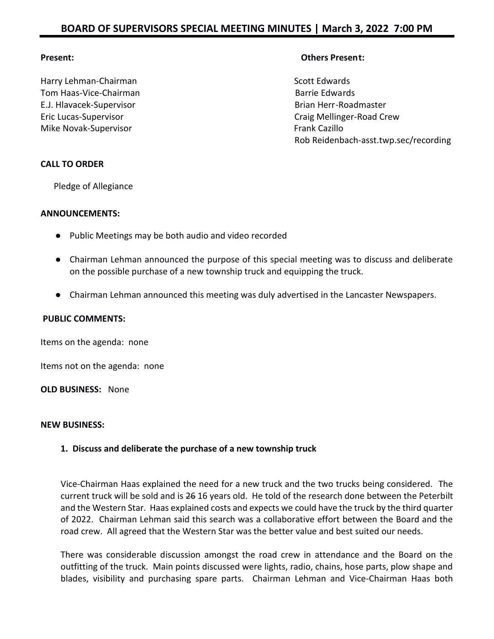Harry Lehman-Chairman Scott Edwards and Scott Edwards Tom Haas-Vice-Chairman Barrie Edwards E.J. Hlavacek-Supervisor **Brian Herr-Roadmaster** Brian Herr-Roadmaster Mike Novak-Supervisor **Frank Cazillo Frank Cazillo** 

## **Present: Others Present:**

Eric Lucas-Supervisor Craig Mellinger-Road Crew Rob Reidenbach-asst.twp.sec/recording

## **CALL TO ORDER**

Pledge of Allegiance

#### **ANNOUNCEMENTS:**

- Public Meetings may be both audio and video recorded
- Chairman Lehman announced the purpose of this special meeting was to discuss and deliberate on the possible purchase of a new township truck and equipping the truck.
- Chairman Lehman announced this meeting was duly advertised in the Lancaster Newspapers.

#### **PUBLIC COMMENTS:**

Items on the agenda: none

Items not on the agenda: none

**OLD BUSINESS:** None

#### **NEW BUSINESS:**

#### **1. Discuss and deliberate the purchase of a new township truck**

Vice-Chairman Haas explained the need for a new truck and the two trucks being considered. The current truck will be sold and is 26 16 years old. He told of the research done between the Peterbilt and the Western Star. Haas explained costs and expects we could have the truck by the third quarter of 2022. Chairman Lehman said this search was a collaborative effort between the Board and the road crew. All agreed that the Western Star was the better value and best suited our needs.

There was considerable discussion amongst the road crew in attendance and the Board on the outfitting of the truck. Main points discussed were lights, radio, chains, hose parts, plow shape and blades, visibility and purchasing spare parts. Chairman Lehman and Vice-Chairman Haas both